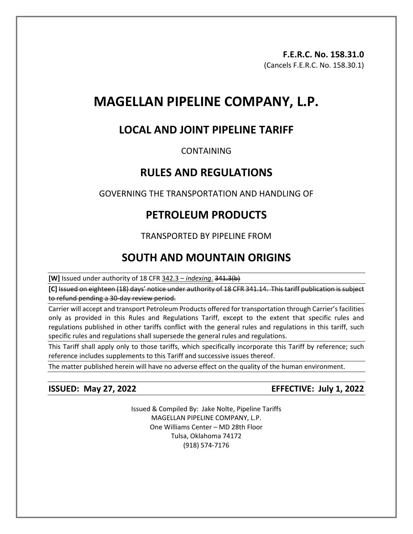# **MAGELLAN PIPELINE COMPANY, L.P.**

# **LOCAL AND JOINT PIPELINE TARIFF**

# CONTAINING

# **RULES AND REGULATIONS**

GOVERNING THE TRANSPORTATION AND HANDLING OF

# **PETROLEUM PRODUCTS**

# TRANSPORTED BY PIPELINE FROM

# **SOUTH AND MOUNTAIN ORIGINS**

**[W]** Issued under authority of 18 CFR 342.3 – *indexing*. 341.3(b)

**[C]** Issued on eighteen (18) days' notice under authority of 18 CFR 341.14. This tariff publication is subject to refund pending a 30-day review period.

Carrier will accept and transport Petroleum Products offered for transportation through Carrier's facilities only as provided in this Rules and Regulations Tariff, except to the extent that specific rules and regulations published in other tariffs conflict with the general rules and regulations in this tariff, such specific rules and regulations shall supersede the general rules and regulations.

This Tariff shall apply only to those tariffs, which specifically incorporate this Tariff by reference; such reference includes supplements to this Tariff and successive issues thereof.

The matter published herein will have no adverse effect on the quality of the human environment.

**ISSUED: May 27, 2022 EFFECTIVE: July 1, 2022**

Issued & Compiled By: Jake Nolte, Pipeline Tariffs MAGELLAN PIPELINE COMPANY, L.P. One Williams Center – MD 28th Floor Tulsa, Oklahoma 74172 (918) 574-7176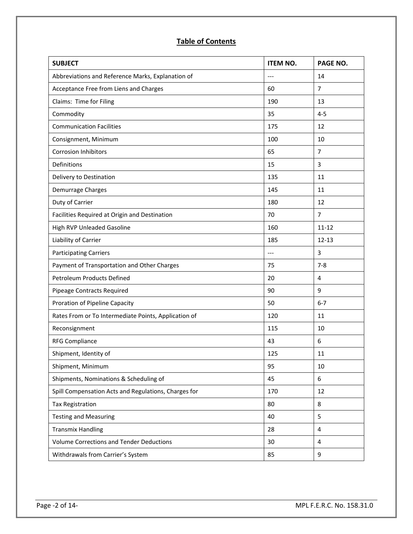# **Table of Contents**

| <b>SUBJECT</b>                                       | <b>ITEM NO.</b> | PAGE NO.       |
|------------------------------------------------------|-----------------|----------------|
| Abbreviations and Reference Marks, Explanation of    | $---$           | 14             |
| Acceptance Free from Liens and Charges               | 60              | $\overline{7}$ |
| Claims: Time for Filing                              | 190             | 13             |
| Commodity                                            | 35              | $4 - 5$        |
| <b>Communication Facilities</b>                      | 175             | 12             |
| Consignment, Minimum                                 | 100             | 10             |
| <b>Corrosion Inhibitors</b>                          | 65              | $\overline{7}$ |
| Definitions                                          | 15              | 3              |
| Delivery to Destination                              | 135             | 11             |
| Demurrage Charges                                    | 145             | 11             |
| Duty of Carrier                                      | 180             | 12             |
| Facilities Required at Origin and Destination        | 70              | $\overline{7}$ |
| High RVP Unleaded Gasoline                           | 160             | $11 - 12$      |
| Liability of Carrier                                 | 185             | $12 - 13$      |
| <b>Participating Carriers</b>                        | $---$           | 3              |
| Payment of Transportation and Other Charges          | 75              | $7 - 8$        |
| Petroleum Products Defined                           | 20              | $\overline{4}$ |
| Pipeage Contracts Required                           | 90              | 9              |
| Proration of Pipeline Capacity                       | 50              | $6 - 7$        |
| Rates From or To Intermediate Points, Application of | 120             | 11             |
| Reconsignment                                        | 115             | 10             |
| <b>RFG Compliance</b>                                | 43              | 6              |
| Shipment, Identity of                                | 125             | 11             |
| Shipment, Minimum                                    | 95              | 10             |
| Shipments, Nominations & Scheduling of               | 45              | 6              |
| Spill Compensation Acts and Regulations, Charges for | 170             | 12             |
| <b>Tax Registration</b>                              | 80              | 8              |
| <b>Testing and Measuring</b>                         | 40              | 5              |
| <b>Transmix Handling</b>                             | 28              | 4              |
| <b>Volume Corrections and Tender Deductions</b>      | 30              | 4              |
| Withdrawals from Carrier's System                    | 85              | 9              |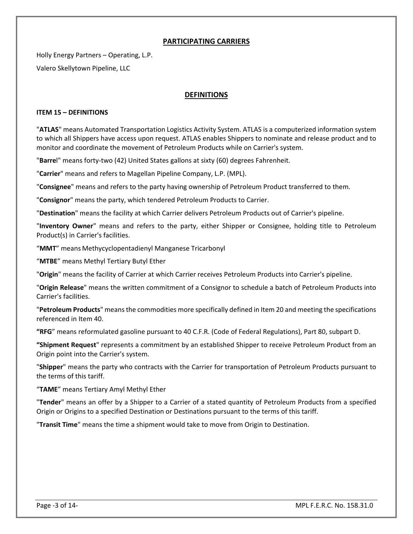### **PARTICIPATING CARRIERS**

Holly Energy Partners – Operating, L.P. Valero Skellytown Pipeline, LLC

### **DEFINITIONS**

#### **ITEM 15 – DEFINITIONS**

"**ATLAS**" means Automated Transportation Logistics Activity System. ATLAS is a computerized information system to which all Shippers have access upon request. ATLAS enables Shippers to nominate and release product and to monitor and coordinate the movement of Petroleum Products while on Carrier's system.

"**Barre**l" means forty-two (42) United States gallons at sixty (60) degrees Fahrenheit.

"**Carrier**" means and refers to Magellan Pipeline Company, L.P. (MPL).

"**Consignee**" means and refers to the party having ownership of Petroleum Product transferred to them.

"**Consignor**" means the party, which tendered Petroleum Products to Carrier.

"**Destination**" means the facility at which Carrier delivers Petroleum Products out of Carrier's pipeline.

"**Inventory Owner**" means and refers to the party, either Shipper or Consignee, holding title to Petroleum Product(s) in Carrier's facilities.

"**MMT**" means Methycyclopentadienyl Manganese Tricarbonyl

"**MTBE**" means Methyl Tertiary Butyl Ether

"**Origin**" means the facility of Carrier at which Carrier receives Petroleum Products into Carrier's pipeline.

"**Origin Release**" means the written commitment of a Consignor to schedule a batch of Petroleum Products into Carrier's facilities.

"**Petroleum Products**" means the commodities more specifically defined in Item 20 and meeting the specifications referenced in Item 40.

**"RFG**" means reformulated gasoline pursuant to 40 C.F.R. (Code of Federal Regulations), Part 80, subpart D.

**"Shipment Request**" represents a commitment by an established Shipper to receive Petroleum Product from an Origin point into the Carrier's system.

"**Shipper**" means the party who contracts with the Carrier for transportation of Petroleum Products pursuant to the terms of this tariff.

"**TAME**" means Tertiary Amyl Methyl Ether

"**Tender**" means an offer by a Shipper to a Carrier of a stated quantity of Petroleum Products from a specified Origin or Origins to a specified Destination or Destinations pursuant to the terms of this tariff.

"**Transit Time**" means the time a shipment would take to move from Origin to Destination.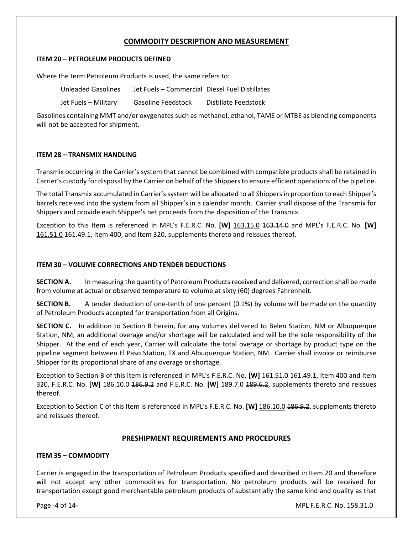### **COMMODITY DESCRIPTION AND MEASUREMENT**

#### **ITEM 20 – PETROLEUM PRODUCTS DEFINED**

Where the term Petroleum Products is used, the same refers to:

| Unleaded Gasolines   | Jet Fuels - Commercial Diesel Fuel Distillates |                      |
|----------------------|------------------------------------------------|----------------------|
| Jet Fuels – Military | <b>Gasoline Feedstock</b>                      | Distillate Feedstock |

Gasolines containing MMT and/or oxygenates such as methanol, ethanol, TAME or MTBE as blending components will not be accepted for shipment.

#### **ITEM 28 – TRANSMIX HANDLING**

Transmix occurring in the Carrier's system that cannot be combined with compatible products shall be retained in Carrier's custody for disposal by the Carrier on behalf of the Shippers to ensure efficient operations of the pipeline.

The total Transmix accumulated in Carrier's system will be allocated to all Shippers in proportion to each Shipper's barrels received into the system from all Shipper's in a calendar month. Carrier shall dispose of the Transmix for Shippers and provide each Shipper's net proceeds from the disposition of the Transmix.

Exception to this Item is referenced in MPL's F.E.R.C. No. **[W]** 163.15.0 <del>163.14.0</del> and MPL's F.E.R.C. No. [W] 161.51.0 161.49.1, Item 400, and Item 320, supplements thereto and reissues thereof.

#### **ITEM 30 – VOLUME CORRECTIONS AND TENDER DEDUCTIONS**

**SECTION A.** In measuring the quantity of Petroleum Products received and delivered, correction shall be made from volume at actual or observed temperature to volume at sixty (60) degrees Fahrenheit.

**SECTION B.** A tender deduction of one-tenth of one percent (0.1%) by volume will be made on the quantity of Petroleum Products accepted for transportation from all Origins.

**SECTION C.** In addition to Section B herein, for any volumes delivered to Belen Station, NM or Albuquerque Station, NM, an additional overage and/or shortage will be calculated and will be the sole responsibility of the Shipper. At the end of each year, Carrier will calculate the total overage or shortage by product type on the pipeline segment between El Paso Station, TX and Albuquerque Station, NM. Carrier shall invoice or reimburse Shipper for its proportional share of any overage or shortage.

Exception to Section B of this Item is referenced in MPL's F.E.R.C. No. **[W]** 161.51.0 161.49.1, Item 400 and Item 320, F.E.R.C. No. **[W]** 186.10.0 186.9.2 and F.E.R.C. No. **[W]** 189.7.0 189.6.2, supplements thereto and reissues thereof.

Exception to Section C of this Item is referenced in MPL's F.E.R.C. No. **[W]** 186.10.0 186.9.2, supplements thereto and reissues thereof.

#### **PRESHIPMENT REQUIREMENTS AND PROCEDURES**

#### **ITEM 35 – COMMODITY**

Carrier is engaged in the transportation of Petroleum Products specified and described in Item 20 and therefore will not accept any other commodities for transportation. No petroleum products will be received for transportation except good merchantable petroleum products of substantially the same kind and quality as that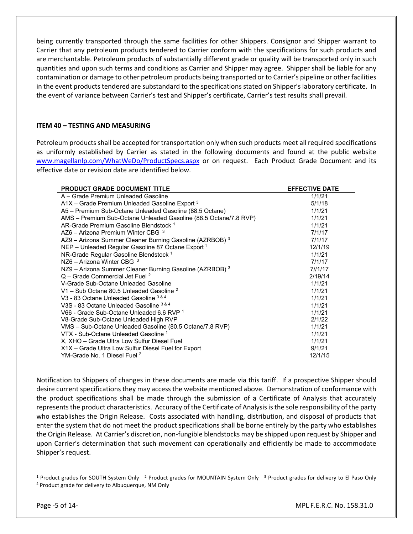being currently transported through the same facilities for other Shippers. Consignor and Shipper warrant to Carrier that any petroleum products tendered to Carrier conform with the specifications for such products and are merchantable. Petroleum products of substantially different grade or quality will be transported only in such quantities and upon such terms and conditions as Carrier and Shipper may agree. Shipper shall be liable for any contamination or damage to other petroleum products being transported or to Carrier's pipeline or other facilities in the event products tendered are substandard to the specifications stated on Shipper's laboratory certificate. In the event of variance between Carrier's test and Shipper's certificate, Carrier's test results shall prevail.

#### **ITEM 40 – TESTING AND MEASURING**

Petroleum products shall be accepted for transportation only when such products meet all required specifications as uniformly established by Carrier as stated in the following documents and found at the public website [www.magellanlp.com/WhatWeDo/ProductSpecs.aspx](http://www.magellanlp.com/WhatWeDo/ProductSpecs.asp) or on request. Each Product Grade Document and its effective date or revision date are identified below.

| <b>PRODUCT GRADE DOCUMENT TITLE</b>                              | <b>EFFECTIVE DATE</b> |
|------------------------------------------------------------------|-----------------------|
| A - Grade Premium Unleaded Gasoline                              | 1/1/21                |
| $A1X$ – Grade Premium Unleaded Gasoline Export $3$               | 5/1/18                |
| A5 - Premium Sub-Octane Unleaded Gasoline (88.5 Octane)          | 1/1/21                |
| AMS - Premium Sub-Octane Unleaded Gasoline (88.5 Octane/7.8 RVP) | 1/1/21                |
| AR-Grade Premium Gasoline Blendstock 1                           | 1/1/21                |
| AZ6 - Arizona Premium Winter CBG 3                               | 7/1/17                |
| AZ9 - Arizona Summer Cleaner Burning Gasoline (AZRBOB) 3         | 7/1/17                |
| NEP - Unleaded Regular Gasoline 87 Octane Export 1               | 12/1/19               |
| NR-Grade Regular Gasoline Blendstock <sup>1</sup>                | 1/1/21                |
| NZ6 - Arizona Winter CBG $3$                                     | 7/1/17                |
| NZ9 - Arizona Summer Cleaner Burning Gasoline (AZRBOB) 3         | 71/1117               |
| $Q$ – Grade Commercial Jet Fuel $^2$                             | 2/19/14               |
| V-Grade Sub-Octane Unleaded Gasoline                             | 1/1/21                |
| V1 – Sub Octane 80.5 Unleaded Gasoline $^2$                      | 1/1/21                |
| V3 - 83 Octane Unleaded Gasoline 3 & 4                           | 1/1/21                |
| V3S - 83 Octane Unleaded Gasoline 3 & 4                          | 1/1/21                |
| V66 - Grade Sub-Octane Unleaded 6.6 RVP 1                        | 1/1/21                |
| V8-Grade Sub-Octane Unleaded High RVP                            | 2/1/22                |
| VMS - Sub-Octane Unleaded Gasoline (80.5 Octane/7.8 RVP)         | 1/1/21                |
| VTX - Sub-Octane Unleaded Gasoline 1                             | 1/1/21                |
| X, XHO - Grade Ultra Low Sulfur Diesel Fuel                      | 1/1/21                |
| X1X - Grade Ultra Low Sulfur Diesel Fuel for Export              | 9/1/21                |
| YM-Grade No. 1 Diesel Fuel <sup>2</sup>                          | 12/1/15               |

Notification to Shippers of changes in these documents are made via this tariff. If a prospective Shipper should desire current specifications they may access the website mentioned above. Demonstration of conformance with the product specifications shall be made through the submission of a Certificate of Analysis that accurately represents the product characteristics. Accuracy of the Certificate of Analysis is the sole responsibility of the party who establishes the Origin Release. Costs associated with handling, distribution, and disposal of products that enter the system that do not meet the product specifications shall be borne entirely by the party who establishes the Origin Release. At Carrier's discretion, non-fungible blendstocks may be shipped upon request by Shipper and upon Carrier's determination that such movement can operationally and efficiently be made to accommodate Shipper's request.

<sup>1</sup> Product grades for SOUTH System Only <sup>2</sup> Product grades for MOUNTAIN System Only <sup>3</sup> Product grades for delivery to El Paso Only 4 Product grade for delivery to El Paso Only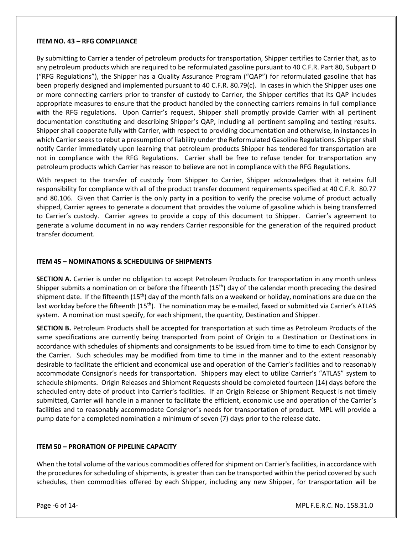#### **ITEM NO. 43 – RFG COMPLIANCE**

By submitting to Carrier a tender of petroleum products for transportation, Shipper certifies to Carrier that, as to any petroleum products which are required to be reformulated gasoline pursuant to 40 C.F.R. Part 80, Subpart D ("RFG Regulations"), the Shipper has a Quality Assurance Program ("QAP") for reformulated gasoline that has been properly designed and implemented pursuant to 40 C.F.R. 80.79(c). In cases in which the Shipper uses one or more connecting carriers prior to transfer of custody to Carrier, the Shipper certifies that its QAP includes appropriate measures to ensure that the product handled by the connecting carriers remains in full compliance with the RFG regulations. Upon Carrier's request, Shipper shall promptly provide Carrier with all pertinent documentation constituting and describing Shipper's QAP, including all pertinent sampling and testing results. Shipper shall cooperate fully with Carrier, with respect to providing documentation and otherwise, in instances in which Carrier seeks to rebut a presumption of liability under the Reformulated Gasoline Regulations. Shipper shall notify Carrier immediately upon learning that petroleum products Shipper has tendered for transportation are not in compliance with the RFG Regulations. Carrier shall be free to refuse tender for transportation any petroleum products which Carrier has reason to believe are not in compliance with the RFG Regulations.

With respect to the transfer of custody from Shipper to Carrier, Shipper acknowledges that it retains full responsibility for compliance with all of the product transfer document requirements specified at 40 C.F.R. 80.77 and 80.106. Given that Carrier is the only party in a position to verify the precise volume of product actually shipped, Carrier agrees to generate a document that provides the volume of gasoline which is being transferred to Carrier's custody. Carrier agrees to provide a copy of this document to Shipper. Carrier's agreement to generate a volume document in no way renders Carrier responsible for the generation of the required product transfer document.

#### **ITEM 45 – NOMINATIONS & SCHEDULING OF SHIPMENTS**

**SECTION A.** Carrier is under no obligation to accept Petroleum Products for transportation in any month unless Shipper submits a nomination on or before the fifteenth  $(15<sup>th</sup>)$  day of the calendar month preceding the desired shipment date. If the fifteenth  $(15<sup>th</sup>)$  day of the month falls on a weekend or holiday, nominations are due on the last workday before the fifteenth (15<sup>th</sup>). The nomination may be e-mailed, faxed or submitted via Carrier's ATLAS system. A nomination must specify, for each shipment, the quantity, Destination and Shipper.

**SECTION B.** Petroleum Products shall be accepted for transportation at such time as Petroleum Products of the same specifications are currently being transported from point of Origin to a Destination or Destinations in accordance with schedules of shipments and consignments to be issued from time to time to each Consignor by the Carrier. Such schedules may be modified from time to time in the manner and to the extent reasonably desirable to facilitate the efficient and economical use and operation of the Carrier's facilities and to reasonably accommodate Consignor's needs for transportation. Shippers may elect to utilize Carrier's "ATLAS" system to schedule shipments. Origin Releases and Shipment Requests should be completed fourteen (14) days before the scheduled entry date of product into Carrier's facilities. If an Origin Release or Shipment Request is not timely submitted, Carrier will handle in a manner to facilitate the efficient, economic use and operation of the Carrier's facilities and to reasonably accommodate Consignor's needs for transportation of product. MPL will provide a pump date for a completed nomination a minimum of seven (7) days prior to the release date.

#### **ITEM 50 – PRORATION OF PIPELINE CAPACITY**

When the total volume of the various commodities offered for shipment on Carrier's facilities, in accordance with the procedures for scheduling of shipments, is greater than can be transported within the period covered by such schedules, then commodities offered by each Shipper, including any new Shipper, for transportation will be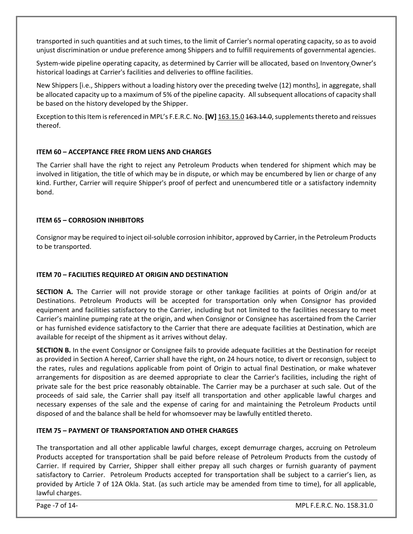transported in such quantities and at such times, to the limit of Carrier's normal operating capacity, so as to avoid unjust discrimination or undue preference among Shippers and to fulfill requirements of governmental agencies.

System-wide pipeline operating capacity, as determined by Carrier will be allocated, based on Inventory Owner's historical loadings at Carrier's facilities and deliveries to offline facilities.

New Shippers [i.e., Shippers without a loading history over the preceding twelve (12) months], in aggregate, shall be allocated capacity up to a maximum of 5% of the pipeline capacity. All subsequent allocations of capacity shall be based on the history developed by the Shipper.

Exception to this Item is referenced in MPL's F.E.R.C. No. **[W]** 163.15.0 163.14.0, supplements thereto and reissues thereof.

#### **ITEM 60 – ACCEPTANCE FREE FROM LIENS AND CHARGES**

The Carrier shall have the right to reject any Petroleum Products when tendered for shipment which may be involved in litigation, the title of which may be in dispute, or which may be encumbered by lien or charge of any kind. Further, Carrier will require Shipper's proof of perfect and unencumbered title or a satisfactory indemnity bond.

#### **ITEM 65 – CORROSION INHIBITORS**

Consignor may be required to inject oil-soluble corrosion inhibitor, approved by Carrier, in the Petroleum Products to be transported.

#### **ITEM 70 – FACILITIES REQUIRED AT ORIGIN AND DESTINATION**

**SECTION A.** The Carrier will not provide storage or other tankage facilities at points of Origin and/or at Destinations. Petroleum Products will be accepted for transportation only when Consignor has provided equipment and facilities satisfactory to the Carrier, including but not limited to the facilities necessary to meet Carrier's mainline pumping rate at the origin, and when Consignor or Consignee has ascertained from the Carrier or has furnished evidence satisfactory to the Carrier that there are adequate facilities at Destination, which are available for receipt of the shipment as it arrives without delay.

**SECTION B.** In the event Consignor or Consignee fails to provide adequate facilities at the Destination for receipt as provided in Section A hereof, Carrier shall have the right, on 24 hours notice, to divert or reconsign, subject to the rates, rules and regulations applicable from point of Origin to actual final Destination, or make whatever arrangements for disposition as are deemed appropriate to clear the Carrier's facilities, including the right of private sale for the best price reasonably obtainable. The Carrier may be a purchaser at such sale. Out of the proceeds of said sale, the Carrier shall pay itself all transportation and other applicable lawful charges and necessary expenses of the sale and the expense of caring for and maintaining the Petroleum Products until disposed of and the balance shall be held for whomsoever may be lawfully entitled thereto.

#### **ITEM 75 – PAYMENT OF TRANSPORTATION AND OTHER CHARGES**

The transportation and all other applicable lawful charges, except demurrage charges, accruing on Petroleum Products accepted for transportation shall be paid before release of Petroleum Products from the custody of Carrier. If required by Carrier, Shipper shall either prepay all such charges or furnish guaranty of payment satisfactory to Carrier. Petroleum Products accepted for transportation shall be subject to a carrier's lien, as provided by Article 7 of 12A Okla. Stat. (as such article may be amended from time to time), for all applicable, lawful charges.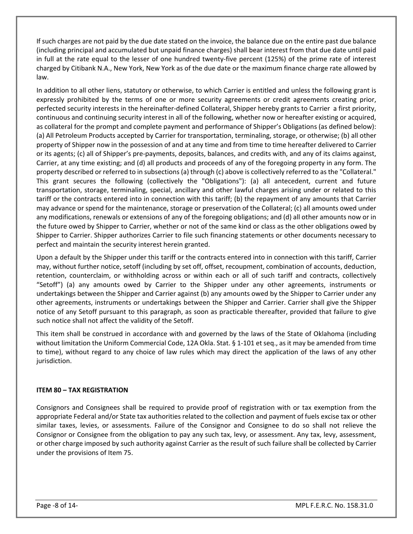If such charges are not paid by the due date stated on the invoice, the balance due on the entire past due balance (including principal and accumulated but unpaid finance charges) shall bear interest from that due date until paid in full at the rate equal to the lesser of one hundred twenty-five percent (125%) of the prime rate of interest charged by Citibank N.A., New York, New York as of the due date or the maximum finance charge rate allowed by law.

In addition to all other liens, statutory or otherwise, to which Carrier is entitled and unless the following grant is expressly prohibited by the terms of one or more security agreements or credit agreements creating prior, perfected security interests in the hereinafter-defined Collateral, Shipper hereby grants to Carrier a first priority, continuous and continuing security interest in all of the following, whether now or hereafter existing or acquired, as collateral for the prompt and complete payment and performance of Shipper's Obligations (as defined below): (a) All Petroleum Products accepted by Carrier for transportation, terminaling, storage, or otherwise; (b) all other property of Shipper now in the possession of and at any time and from time to time hereafter delivered to Carrier or its agents; (c) all of Shipper's pre-payments, deposits, balances, and credits with, and any of its claims against, Carrier, at any time existing; and (d) all products and proceeds of any of the foregoing property in any form. The property described or referred to in subsections (a) through (c) above is collectively referred to as the "Collateral." This grant secures the following (collectively the "Obligations"): (a) all antecedent, current and future transportation, storage, terminaling, special, ancillary and other lawful charges arising under or related to this tariff or the contracts entered into in connection with this tariff; (b) the repayment of any amounts that Carrier may advance or spend for the maintenance, storage or preservation of the Collateral; (c) all amounts owed under any modifications, renewals or extensions of any of the foregoing obligations; and (d) all other amounts now or in the future owed by Shipper to Carrier, whether or not of the same kind or class as the other obligations owed by Shipper to Carrier. Shipper authorizes Carrier to file such financing statements or other documents necessary to perfect and maintain the security interest herein granted.

Upon a default by the Shipper under this tariff or the contracts entered into in connection with this tariff, Carrier may, without further notice, setoff (including by set off, offset, recoupment, combination of accounts, deduction, retention, counterclaim, or withholding across or within each or all of such tariff and contracts, collectively "Setoff") (a) any amounts owed by Carrier to the Shipper under any other agreements, instruments or undertakings between the Shipper and Carrier against (b) any amounts owed by the Shipper to Carrier under any other agreements, instruments or undertakings between the Shipper and Carrier. Carrier shall give the Shipper notice of any Setoff pursuant to this paragraph, as soon as practicable thereafter, provided that failure to give such notice shall not affect the validity of the Setoff.

This item shall be construed in accordance with and governed by the laws of the State of Oklahoma (including without limitation the Uniform Commercial Code, 12A Okla. Stat. § 1-101 et seq., as it may be amended from time to time), without regard to any choice of law rules which may direct the application of the laws of any other jurisdiction.

#### **ITEM 80 – TAX REGISTRATION**

Consignors and Consignees shall be required to provide proof of registration with or tax exemption from the appropriate Federal and/or State tax authorities related to the collection and payment of fuels excise tax or other similar taxes, levies, or assessments. Failure of the Consignor and Consignee to do so shall not relieve the Consignor or Consignee from the obligation to pay any such tax, levy, or assessment. Any tax, levy, assessment, or other charge imposed by such authority against Carrier as the result of such failure shall be collected by Carrier under the provisions of Item 75.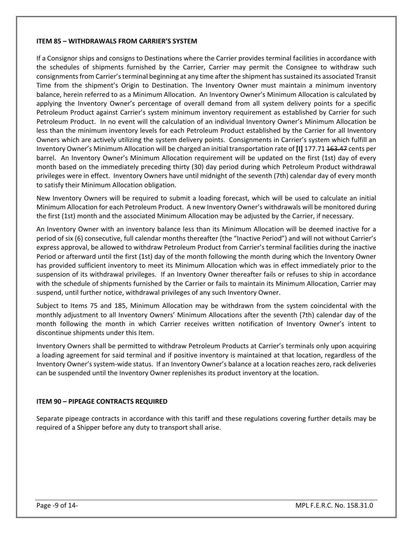#### **ITEM 85 – WITHDRAWALS FROM CARRIER'S SYSTEM**

If a Consignor ships and consigns to Destinations where the Carrier provides terminal facilities in accordance with the schedules of shipments furnished by the Carrier, Carrier may permit the Consignee to withdraw such consignments from Carrier's terminal beginning at any time after the shipment has sustained its associated Transit Time from the shipment's Origin to Destination. The Inventory Owner must maintain a minimum inventory balance, herein referred to as a Minimum Allocation. An Inventory Owner's Minimum Allocation is calculated by applying the Inventory Owner's percentage of overall demand from all system delivery points for a specific Petroleum Product against Carrier's system minimum inventory requirement as established by Carrier for such Petroleum Product. In no event will the calculation of an individual Inventory Owner's Minimum Allocation be less than the minimum inventory levels for each Petroleum Product established by the Carrier for all Inventory Owners which are actively utilizing the system delivery points. Consignments in Carrier's system which fulfill an Inventory Owner's Minimum Allocation will be charged an initial transportation rate of **[I]** 177.71 163.47 cents per barrel. An Inventory Owner's Minimum Allocation requirement will be updated on the first (1st) day of every month based on the immediately preceding thirty (30) day period during which Petroleum Product withdrawal privileges were in effect. Inventory Owners have until midnight of the seventh (7th) calendar day of every month to satisfy their Minimum Allocation obligation.

New Inventory Owners will be required to submit a loading forecast, which will be used to calculate an initial Minimum Allocation for each Petroleum Product. A new Inventory Owner's withdrawals will be monitored during the first (1st) month and the associated Minimum Allocation may be adjusted by the Carrier, if necessary.

An Inventory Owner with an inventory balance less than its Minimum Allocation will be deemed inactive for a period of six (6) consecutive, full calendar months thereafter (the "Inactive Period") and will not without Carrier's express approval, be allowed to withdraw Petroleum Product from Carrier's terminal facilities during the inactive Period or afterward until the first (1st) day of the month following the month during which the Inventory Owner has provided sufficient inventory to meet its Minimum Allocation which was in effect immediately prior to the suspension of its withdrawal privileges. If an Inventory Owner thereafter fails or refuses to ship in accordance with the schedule of shipments furnished by the Carrier or fails to maintain its Minimum Allocation, Carrier may suspend, until further notice, withdrawal privileges of any such Inventory Owner.

Subject to Items 75 and 185, Minimum Allocation may be withdrawn from the system coincidental with the monthly adjustment to all Inventory Owners' Minimum Allocations after the seventh (7th) calendar day of the month following the month in which Carrier receives written notification of Inventory Owner's intent to discontinue shipments under this Item.

Inventory Owners shall be permitted to withdraw Petroleum Products at Carrier's terminals only upon acquiring a loading agreement for said terminal and if positive inventory is maintained at that location, regardless of the Inventory Owner's system-wide status. If an Inventory Owner's balance at a location reaches zero, rack deliveries can be suspended until the Inventory Owner replenishes its product inventory at the location.

#### **ITEM 90 – PIPEAGE CONTRACTS REQUIRED**

Separate pipeage contracts in accordance with this tariff and these regulations covering further details may be required of a Shipper before any duty to transport shall arise.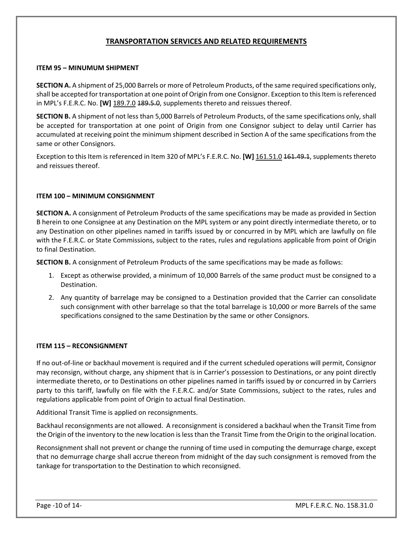## **TRANSPORTATION SERVICES AND RELATED REQUIREMENTS**

#### **ITEM 95 – MINUMUM SHIPMENT**

**SECTION A.** A shipment of 25,000 Barrels or more of Petroleum Products, of the same required specifications only, shall be accepted for transportation at one point of Origin from one Consignor. Exception to this Item is referenced in MPL's F.E.R.C. No. **[W]** 189.7.0 189.5.0, supplements thereto and reissues thereof.

**SECTION B.** A shipment of not less than 5,000 Barrels of Petroleum Products, of the same specifications only, shall be accepted for transportation at one point of Origin from one Consignor subject to delay until Carrier has accumulated at receiving point the minimum shipment described in Section A of the same specifications from the same or other Consignors.

Exception to this Item is referenced in Item 320 of MPL's F.E.R.C. No. **[W]** 161.51.0 161.49.1, supplements thereto and reissues thereof.

#### **ITEM 100 – MINIMUM CONSIGNMENT**

**SECTION A.** A consignment of Petroleum Products of the same specifications may be made as provided in Section B herein to one Consignee at any Destination on the MPL system or any point directly intermediate thereto, or to any Destination on other pipelines named in tariffs issued by or concurred in by MPL which are lawfully on file with the F.E.R.C. or State Commissions, subject to the rates, rules and regulations applicable from point of Origin to final Destination.

**SECTION B.** A consignment of Petroleum Products of the same specifications may be made as follows:

- 1. Except as otherwise provided, a minimum of 10,000 Barrels of the same product must be consigned to a Destination.
- 2. Any quantity of barrelage may be consigned to a Destination provided that the Carrier can consolidate such consignment with other barrelage so that the total barrelage is 10,000 or more Barrels of the same specifications consigned to the same Destination by the same or other Consignors.

#### **ITEM 115 – RECONSIGNMENT**

If no out-of-line or backhaul movement is required and if the current scheduled operations will permit, Consignor may reconsign, without charge, any shipment that is in Carrier's possession to Destinations, or any point directly intermediate thereto, or to Destinations on other pipelines named in tariffs issued by or concurred in by Carriers party to this tariff, lawfully on file with the F.E.R.C. and/or State Commissions, subject to the rates, rules and regulations applicable from point of Origin to actual final Destination.

Additional Transit Time is applied on reconsignments.

Backhaul reconsignments are not allowed. A reconsignment is considered a backhaul when the Transit Time from the Origin of the inventory to the new location is less than the Transit Time from the Origin to the original location.

Reconsignment shall not prevent or change the running of time used in computing the demurrage charge, except that no demurrage charge shall accrue thereon from midnight of the day such consignment is removed from the tankage for transportation to the Destination to which reconsigned.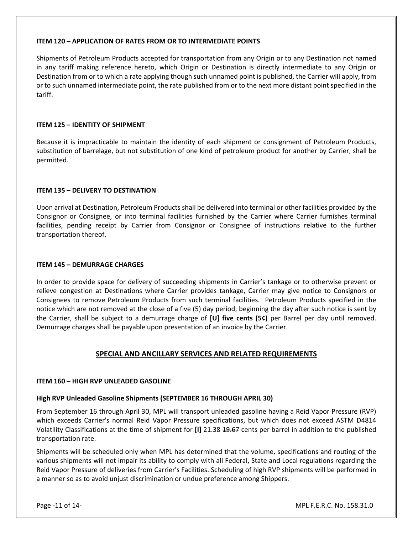#### **ITEM 120 – APPLICATION OF RATES FROM OR TO INTERMEDIATE POINTS**

Shipments of Petroleum Products accepted for transportation from any Origin or to any Destination not named in any tariff making reference hereto, which Origin or Destination is directly intermediate to any Origin or Destination from or to which a rate applying though such unnamed point is published, the Carrier will apply, from or to such unnamed intermediate point, the rate published from or to the next more distant point specified in the tariff.

#### **ITEM 125 – IDENTITY OF SHIPMENT**

Because it is impracticable to maintain the identity of each shipment or consignment of Petroleum Products, substitution of barrelage, but not substitution of one kind of petroleum product for another by Carrier, shall be permitted.

#### **ITEM 135 – DELIVERY TO DESTINATION**

Upon arrival at Destination, Petroleum Products shall be delivered into terminal or other facilities provided by the Consignor or Consignee, or into terminal facilities furnished by the Carrier where Carrier furnishes terminal facilities, pending receipt by Carrier from Consignor or Consignee of instructions relative to the further transportation thereof.

#### **ITEM 145 – DEMURRAGE CHARGES**

In order to provide space for delivery of succeeding shipments in Carrier's tankage or to otherwise prevent or relieve congestion at Destinations where Carrier provides tankage, Carrier may give notice to Consignors or Consignees to remove Petroleum Products from such terminal facilities. Petroleum Products specified in the notice which are not removed at the close of a five (5) day period, beginning the day after such notice is sent by the Carrier, shall be subject to a demurrage charge of **[U] five cents (5¢)** per Barrel per day until removed. Demurrage charges shall be payable upon presentation of an invoice by the Carrier.

### **SPECIAL AND ANCILLARY SERVICES AND RELATED REQUIREMENTS**

#### **ITEM 160 – HIGH RVP UNLEADED GASOLINE**

# **High RVP Unleaded Gasoline Shipments (SEPTEMBER 16 THROUGH APRIL 30)**

From September 16 through April 30, MPL will transport unleaded gasoline having a Reid Vapor Pressure (RVP) which exceeds Carrier's normal Reid Vapor Pressure specifications, but which does not exceed ASTM D4814 Volatility Classifications at the time of shipment for **[I]** 21.38 19.67 cents per barrel in addition to the published transportation rate.

Shipments will be scheduled only when MPL has determined that the volume, specifications and routing of the various shipments will not impair its ability to comply with all Federal, State and Local regulations regarding the Reid Vapor Pressure of deliveries from Carrier's Facilities. Scheduling of high RVP shipments will be performed in a manner so as to avoid unjust discrimination or undue preference among Shippers.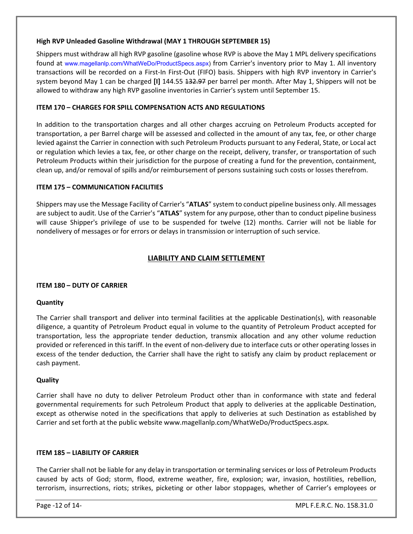#### **High RVP Unleaded Gasoline Withdrawal (MAY 1 THROUGH SEPTEMBER 15)**

Shippers must withdraw all high RVP gasoline (gasoline whose RVP is above the May 1 MPL delivery specifications found at [www.magellanlp.com/WhatWeDo/ProductSpecs.aspx](http://www.magellanlp.com/WhatWeDo/ProductSpecs.asp)) from Carrier's inventory prior to May 1. All inventory transactions will be recorded on a First-In First-Out (FIFO) basis. Shippers with high RVP inventory in Carrier's system beyond May 1 can be charged **[I]** 144.55 132.97 per barrel per month. After May 1, Shippers will not be allowed to withdraw any high RVP gasoline inventories in Carrier's system until September 15.

#### **ITEM 170 – CHARGES FOR SPILL COMPENSATION ACTS AND REGULATIONS**

In addition to the transportation charges and all other charges accruing on Petroleum Products accepted for transportation, a per Barrel charge will be assessed and collected in the amount of any tax, fee, or other charge levied against the Carrier in connection with such Petroleum Products pursuant to any Federal, State, or Local act or regulation which levies a tax, fee, or other charge on the receipt, delivery, transfer, or transportation of such Petroleum Products within their jurisdiction for the purpose of creating a fund for the prevention, containment, clean up, and/or removal of spills and/or reimbursement of persons sustaining such costs or losses therefrom.

#### **ITEM 175 – COMMUNICATION FACILITIES**

Shippers may use the Message Facility of Carrier's "**ATLAS**" system to conduct pipeline business only. All messages are subject to audit. Use of the Carrier's "**ATLAS**" system for any purpose, other than to conduct pipeline business will cause Shipper's privilege of use to be suspended for twelve (12) months. Carrier will not be liable for nondelivery of messages or for errors or delays in transmission or interruption of such service.

### **LIABILITY AND CLAIM SETTLEMENT**

#### **ITEM 180 – DUTY OF CARRIER**

#### **Quantity**

The Carrier shall transport and deliver into terminal facilities at the applicable Destination(s), with reasonable diligence, a quantity of Petroleum Product equal in volume to the quantity of Petroleum Product accepted for transportation, less the appropriate tender deduction, transmix allocation and any other volume reduction provided or referenced in this tariff. In the event of non-delivery due to interface cuts or other operating losses in excess of the tender deduction, the Carrier shall have the right to satisfy any claim by product replacement or cash payment.

#### **Quality**

Carrier shall have no duty to deliver Petroleum Product other than in conformance with state and federal governmental requirements for such Petroleum Product that apply to deliveries at the applicable Destination, except as otherwise noted in the specifications that apply to deliveries at such Destination as established by Carrier and set forth at the public website www.magellanlp.com/WhatWeDo/ProductSpecs.aspx.

#### **ITEM 185 – LIABILITY OF CARRIER**

The Carrier shall not be liable for any delay in transportation or terminaling services or loss of Petroleum Products caused by acts of God; storm, flood, extreme weather, fire, explosion; war, invasion, hostilities, rebellion, terrorism, insurrections, riots; strikes, picketing or other labor stoppages, whether of Carrier's employees or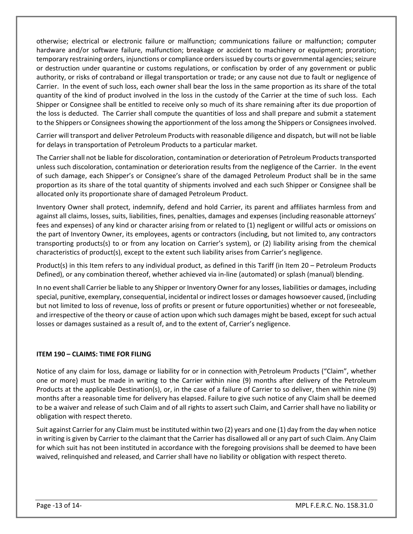otherwise; electrical or electronic failure or malfunction; communications failure or malfunction; computer hardware and/or software failure, malfunction; breakage or accident to machinery or equipment; proration; temporary restraining orders, injunctions or compliance orders issued by courts or governmental agencies; seizure or destruction under quarantine or customs regulations, or confiscation by order of any government or public authority, or risks of contraband or illegal transportation or trade; or any cause not due to fault or negligence of Carrier. In the event of such loss, each owner shall bear the loss in the same proportion as its share of the total quantity of the kind of product involved in the loss in the custody of the Carrier at the time of such loss. Each Shipper or Consignee shall be entitled to receive only so much of its share remaining after its due proportion of the loss is deducted. The Carrier shall compute the quantities of loss and shall prepare and submit a statement to the Shippers or Consignees showing the apportionment of the loss among the Shippers or Consignees involved.

Carrier will transport and deliver Petroleum Products with reasonable diligence and dispatch, but will not be liable for delays in transportation of Petroleum Products to a particular market.

The Carrier shall not be liable for discoloration, contamination or deterioration of Petroleum Products transported unless such discoloration, contamination or deterioration results from the negligence of the Carrier. In the event of such damage, each Shipper's or Consignee's share of the damaged Petroleum Product shall be in the same proportion as its share of the total quantity of shipments involved and each such Shipper or Consignee shall be allocated only its proportionate share of damaged Petroleum Product.

Inventory Owner shall protect, indemnify, defend and hold Carrier, its parent and affiliates harmless from and against all claims, losses, suits, liabilities, fines, penalties, damages and expenses (including reasonable attorneys' fees and expenses) of any kind or character arising from or related to (1) negligent or willful acts or omissions on the part of Inventory Owner, its employees, agents or contractors (including, but not limited to, any contractors transporting products(s) to or from any location on Carrier's system), or (2) liability arising from the chemical characteristics of product(s), except to the extent such liability arises from Carrier's negligence.

Product(s) in this Item refers to any individual product, as defined in this Tariff (in Item 20 – Petroleum Products Defined), or any combination thereof, whether achieved via in-line (automated) or splash (manual) blending.

In no event shall Carrier be liable to any Shipper or Inventory Owner for any losses, liabilities or damages, including special, punitive, exemplary, consequential, incidental or indirect losses or damages howsoever caused, (including but not limited to loss of revenue, loss of profits or present or future opportunities) whether or not foreseeable, and irrespective of the theory or cause of action upon which such damages might be based, except for such actual losses or damages sustained as a result of, and to the extent of, Carrier's negligence.

#### **ITEM 190 – CLAIMS: TIME FOR FILING**

Notice of any claim for loss, damage or liability for or in connection with Petroleum Products ("Claim", whether one or more) must be made in writing to the Carrier within nine (9) months after delivery of the Petroleum Products at the applicable Destination(s), or, in the case of a failure of Carrier to so deliver, then within nine (9) months after a reasonable time for delivery has elapsed. Failure to give such notice of any Claim shall be deemed to be a waiver and release of such Claim and of all rights to assert such Claim, and Carrier shall have no liability or obligation with respect thereto.

Suit against Carrier for any Claim must be instituted within two (2) years and one (1) day from the day when notice in writing is given by Carrier to the claimant that the Carrier has disallowed all or any part of such Claim. Any Claim for which suit has not been instituted in accordance with the foregoing provisions shall be deemed to have been waived, relinquished and released, and Carrier shall have no liability or obligation with respect thereto.